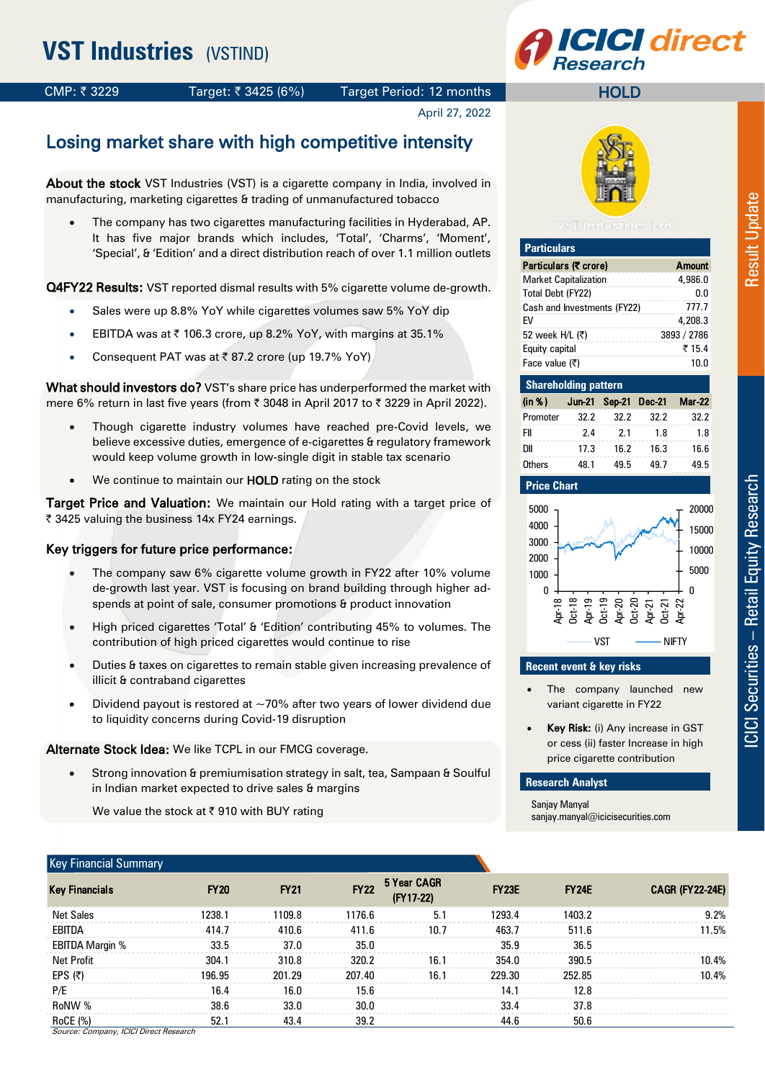# **CI direct**

**HOLD** 

CMP: ₹3229 Target: ₹3425 (6%) Target Period: 12 months

April 27, 2022

# Losing market share with high competitive intensity

About the stock VST Industries (VST) is a cigarette company in India, involved in manufacturing, marketing cigarettes & trading of unmanufactured tobacco

 The company has two cigarettes manufacturing facilities in Hyderabad, AP. It has five major brands which includes, 'Total', 'Charms', 'Moment', 'Special', & 'Edition' and a direct distribution reach of over 1.1 million outlets

Q4FY22 Results: VST reported dismal results with 5% cigarette volume de-growth.

- Sales were up 8.8% YoY while cigarettes volumes saw 5% YoY dip
- EBITDA was at  $\bar{\tau}$  106.3 crore, up 8.2% YoY, with margins at 35.1%
- Consequent PAT was at  $\bar{z}$  87.2 crore (up 19.7% YoY)

What should investors do? VST's share price has underperformed the market with mere 6% return in last five years (from  $\bar{\tau}$  3048 in April 2017 to  $\bar{\tau}$  3229 in April 2022).

- Though cigarette industry volumes have reached pre-Covid levels, we believe excessive duties, emergence of e-cigarettes & regulatory framework would keep volume growth in low-single digit in stable tax scenario
- We continue to maintain our **HOLD** rating on the stock

Target Price and Valuation: We maintain our Hold rating with a target price of ₹ 3425 valuing the business 14x FY24 earnings.

#### Key triggers for future price performance:

- The company saw 6% cigarette volume growth in FY22 after 10% volume de-growth last year. VST is focusing on brand building through higher adspends at point of sale, consumer promotions & product innovation
- High priced cigarettes 'Total' & 'Edition' contributing 45% to volumes. The contribution of high priced cigarettes would continue to rise
- Duties & taxes on cigarettes to remain stable given increasing prevalence of illicit & contraband cigarettes
- Dividend payout is restored at  $\sim$  70% after two years of lower dividend due to liquidity concerns during Covid-19 disruption

Alternate Stock Idea: We like TCPL in our FMCG coverage.

 Strong innovation & premiumisation strategy in salt, tea, Sampaan & Soulful in Indian market expected to drive sales & margins

We value the stock at  $\bar{\tau}$  910 with BUY rating

#### Key Financial Summary



| <b>Particulars</b>           |               |
|------------------------------|---------------|
| Particulars (₹ crore)        | <b>Amount</b> |
| <b>Market Capitalization</b> | 4.986.0       |
| Total Debt (FY22)            | በ በ           |
| Cash and Investments (FY22)  | 777.7         |
| FV                           | 4.208.3       |
| 52 week H/L (₹)              | 3893 / 2786   |
| Equity capital               | ₹15.4         |
| Face value (₹)               | 1በ በ          |

| <b>Shareholding pattern</b> |      |      |                             |      |
|-----------------------------|------|------|-----------------------------|------|
| (in %)                      |      |      | Jun-21 Sep-21 Dec-21 Mar-22 |      |
| Promoter                    | 32.2 | 32.2 | 32.2                        | 32.2 |
| FII                         | 7.4  | 21   | 1.8                         | 1.8  |
| DІІ                         | 17.3 | 16.2 | 16.3                        | 16.6 |
| Others                      | 48.1 | 495  | 49 7                        | 49 R |



### **Recent event & key risks**

- The company launched new variant cigarette in FY22
- Key Risk: (i) Any increase in GST or cess (ii) faster Increase in high price cigarette contribution

#### **Research Analyst**

Sanjay Manyal sanjay.manyal@icicisecurities.com

| Key Financial Summary                  |             |             |             |                          |              |              |                        |
|----------------------------------------|-------------|-------------|-------------|--------------------------|--------------|--------------|------------------------|
| <b>Key Financials</b>                  | <b>FY20</b> | <b>FY21</b> | <b>FY22</b> | 5 Year CAGR<br>(FY17-22) | <b>FY23E</b> | <b>FY24E</b> | <b>CAGR (FY22-24E)</b> |
| <b>Net Sales</b>                       | 1238.1      | 1109.8      | 1176.6      | 5.1                      | 1293.4       | 1403.2       | 9.2%                   |
| EBITDA                                 | 414.7       | 410.6       | 411.6       | 10.7                     | 463.7        | 511.6        | 11.5%                  |
| EBITDA Margin %                        | 33.5        | 37.0        | 35.0        |                          | 35.9         | 36.5         |                        |
| <b>Net Profit</b>                      | 304.1       | 310.8       | 320.2       | 16.1                     | 354.0        | 390.5        | 10.4%                  |
| EPS (₹)                                | 196.95      | 201.29      | 207.40      | 16.1                     | 229.30       | 252.85       | 10.4%                  |
| P/E                                    | 16.4        | 16.0        | 15.6        |                          | 14.1         | 12.8         |                        |
| RoNW %                                 | 38.6        | 33.0        | 30.0        |                          | 33.4         | 37.8         |                        |
| RoCE (%)                               | 52.1        | 43.4        | 39.2        |                          | 44.6         | 50.6         |                        |
| Source: Company, ICICI Direct Research |             |             |             |                          |              |              |                        |

– Retail Equity Research Result Update **CICI Securities - Retail Equity Research** ICICI Securities

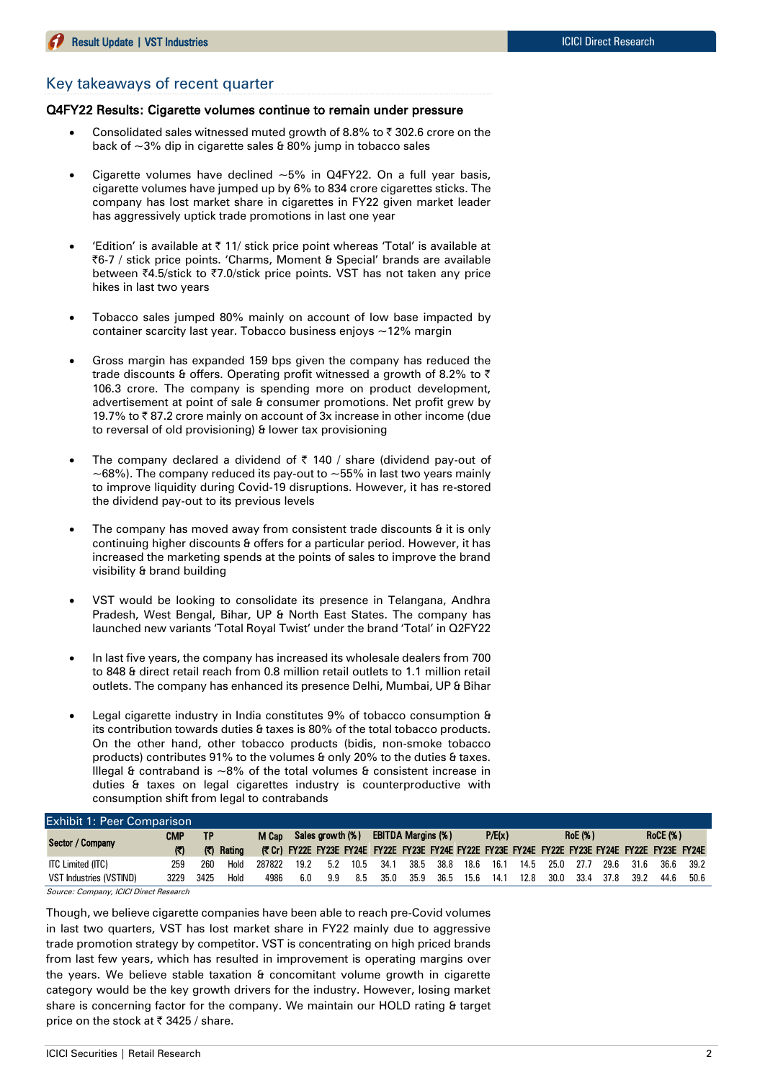#### Key takeaways of recent quarter

#### Q4FY22 Results: Cigarette volumes continue to remain under pressure

- Consolidated sales witnessed muted growth of 8.8% to  $\bar{\tau}$  302.6 crore on the back of  $\sim$ 3% dip in cigarette sales & 80% jump in tobacco sales
- Cigarette volumes have declined  $~5\%$  in Q4FY22. On a full year basis, cigarette volumes have jumped up by 6% to 834 crore cigarettes sticks. The company has lost market share in cigarettes in FY22 given market leader has aggressively uptick trade promotions in last one year
- 'Edition' is available at  $\bar{\tau}$  11/ stick price point whereas 'Total' is available at |6-7 / stick price points. 'Charms, Moment & Special' brands are available between ₹4.5/stick to ₹7.0/stick price points. VST has not taken any price hikes in last two years
- Tobacco sales jumped 80% mainly on account of low base impacted by container scarcity last year. Tobacco business enjoys ~12% margin
- Gross margin has expanded 159 bps given the company has reduced the trade discounts & offers. Operating profit witnessed a growth of 8.2% to  $\bar{\tau}$ 106.3 crore. The company is spending more on product development, advertisement at point of sale & consumer promotions. Net profit grew by 19.7% to  $\bar{\tau}$  87.2 crore mainly on account of 3x increase in other income (due to reversal of old provisioning) & lower tax provisioning
- The company declared a dividend of  $\bar{\tau}$  140 / share (dividend pay-out of  $\sim$ 68%). The company reduced its pay-out to  $\sim$  55% in last two years mainly to improve liquidity during Covid-19 disruptions. However, it has re-stored the dividend pay-out to its previous levels
- The company has moved away from consistent trade discounts & it is only continuing higher discounts & offers for a particular period. However, it has increased the marketing spends at the points of sales to improve the brand visibility & brand building
- VST would be looking to consolidate its presence in Telangana, Andhra Pradesh, West Bengal, Bihar, UP & North East States. The company has launched new variants 'Total Royal Twist' under the brand 'Total' in Q2FY22
- In last five years, the company has increased its wholesale dealers from 700 to 848 & direct retail reach from 0.8 million retail outlets to 1.1 million retail outlets. The company has enhanced its presence Delhi, Mumbai, UP & Bihar
- Legal cigarette industry in India constitutes 9% of tobacco consumption & its contribution towards duties & taxes is 80% of the total tobacco products. On the other hand, other tobacco products (bidis, non-smoke tobacco products) contributes 91% to the volumes & only 20% to the duties & taxes. Illegal & contraband is  $~8\%$  of the total volumes & consistent increase in duties & taxes on legal cigarettes industry is counterproductive with consumption shift from legal to contrabands

| <b>Exhibit 1: Peer Comparison</b>      |      |      |        |                        |      |     |      |                                     |      |      |      |                                   |      |      |      |      |      |      |                                                                                                 |
|----------------------------------------|------|------|--------|------------------------|------|-----|------|-------------------------------------|------|------|------|-----------------------------------|------|------|------|------|------|------|-------------------------------------------------------------------------------------------------|
| CMP<br>Sector / Company                |      | ТP   |        | M Cap Sales growth (%) |      |     |      | P/E(x)<br><b>EBITDA Margins (%)</b> |      |      |      | <b>RoE</b> (%)<br><b>RoCE (%)</b> |      |      |      |      |      |      |                                                                                                 |
|                                        | (3)  | (7)  | Rating |                        |      |     |      |                                     |      |      |      |                                   |      |      |      |      |      |      | (₹Cr) FY22E FY23E FY24E FY22E FY23E FY24E FY22E FY23E FY24E FY22E FY23E FY24E FY22E FY23E FY24E |
| ITC Limited (ITC)                      | 259  | 260  | Hold   | 287822                 | 19.2 | 5.2 | 10.5 | - 34.1                              | 38.5 | 38.8 | 18.6 | 16.1                              | 14.5 | 25.0 | 27.7 | 29.6 | 31.6 |      | 36.6 39.2                                                                                       |
| <b>VST Industries (VSTIND)</b>         | 3229 | 3425 | Hold   | 4986                   | 6.0  | 9.9 | 8.5  | 35.0                                | 35.9 | 36.5 | 15.6 | 14.1                              | 12.8 | 30.0 | 33.4 | 37.8 | 39.2 | 44.6 | 50.6                                                                                            |
| Source: Company, ICICI Direct Research |      |      |        |                        |      |     |      |                                     |      |      |      |                                   |      |      |      |      |      |      |                                                                                                 |

Though, we believe cigarette companies have been able to reach pre-Covid volumes in last two quarters, VST has lost market share in FY22 mainly due to aggressive trade promotion strategy by competitor. VST is concentrating on high priced brands from last few years, which has resulted in improvement is operating margins over the years. We believe stable taxation & concomitant volume growth in cigarette category would be the key growth drivers for the industry. However, losing market share is concerning factor for the company. We maintain our HOLD rating & target price on the stock at  $\bar{\tau}$  3425 / share.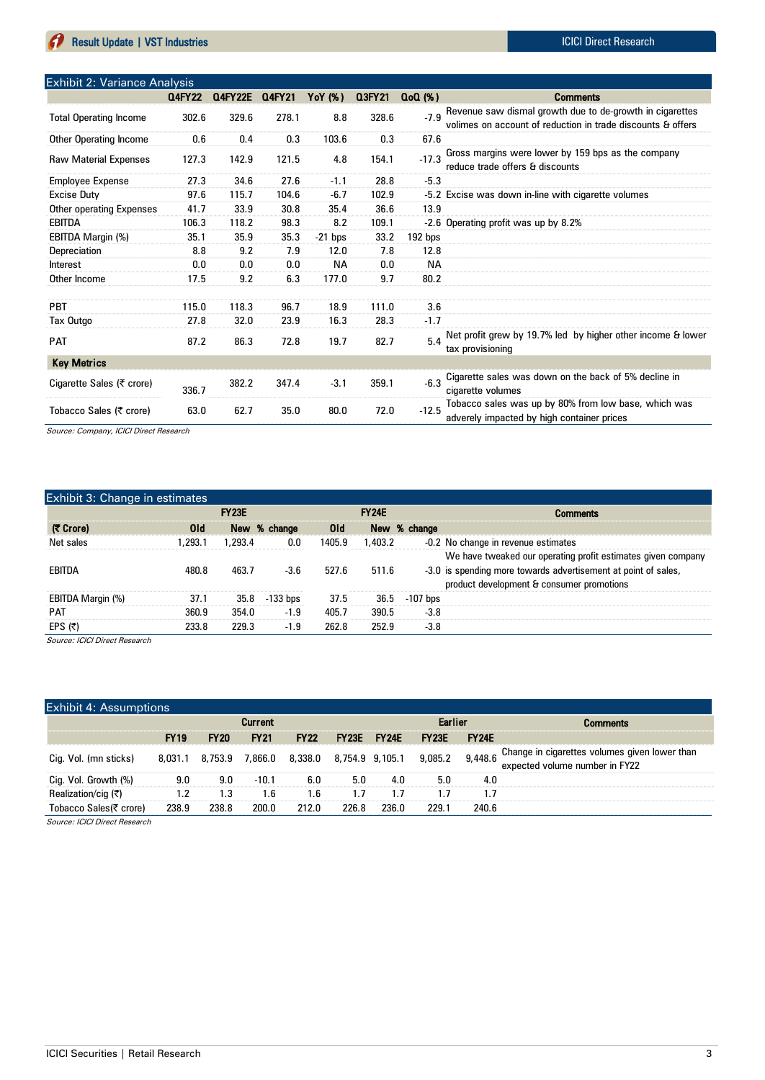|                               | <b>Q4FY22</b> | <b>Q4FY22E</b> | Q4FY21 | YoY (%)   | Q3FY21 | $Q0(\%)$ | <b>Comments</b>                                                                                                         |
|-------------------------------|---------------|----------------|--------|-----------|--------|----------|-------------------------------------------------------------------------------------------------------------------------|
| <b>Total Operating Income</b> | 302.6         | 329.6          | 278.1  | 8.8       | 328.6  | $-7.9$   | Revenue saw dismal growth due to de-growth in cigarettes<br>volimes on account of reduction in trade discounts & offers |
| Other Operating Income        | 0.6           | 0.4            | 0.3    | 103.6     | 0.3    | 67.6     |                                                                                                                         |
| <b>Raw Material Expenses</b>  | 127.3         | 142.9          | 121.5  | 4.8       | 154.1  | $-17.3$  | Gross margins were lower by 159 bps as the company<br>reduce trade offers & discounts                                   |
| <b>Employee Expense</b>       | 27.3          | 34.6           | 27.6   | $-1.1$    | 28.8   | $-5.3$   |                                                                                                                         |
| <b>Excise Duty</b>            | 97.6          | 115.7          | 104.6  | $-6.7$    | 102.9  |          | -5.2 Excise was down in-line with cigarette volumes                                                                     |
| Other operating Expenses      | 41.7          | 33.9           | 30.8   | 35.4      | 36.6   | 13.9     |                                                                                                                         |
| EBITDA                        | 106.3         | 118.2          | 98.3   | 8.2       | 109.1  |          | -2.6 Operating profit was up by 8.2%                                                                                    |
| EBITDA Margin (%)             | 35.1          | 35.9           | 35.3   | $-21$ bps | 33.2   | 192 bps  |                                                                                                                         |
| Depreciation                  | 8.8           | 9.2            | 7.9    | 12.0      | 7.8    | 12.8     |                                                                                                                         |
| Interest                      | 0.0           | 0.0            | 0.0    | ΝA        | 0.0    | ΝA       |                                                                                                                         |
| Other Income                  | 17.5          | 9.2            | 6.3    | 177.0     | 9.7    | 80.2     |                                                                                                                         |
|                               |               |                |        |           |        |          |                                                                                                                         |
| <b>PBT</b>                    | 115.0         | 118.3          | 96.7   | 18.9      | 111.0  | 3.6      |                                                                                                                         |
| Tax Outgo                     | 27.8          | 32.0           | 23.9   | 16.3      | 28.3   | $-1.7$   |                                                                                                                         |
| <b>PAT</b>                    | 87.2          | 86.3           | 72.8   | 19.7      | 82.7   | 54       | Net profit grew by 19.7% led by higher other income & lower<br>tax provisioning                                         |
| <b>Key Metrics</b>            |               |                |        |           |        |          |                                                                                                                         |
| Cigarette Sales (₹ crore)     | 336.7         | 382.2          | 347.4  | $-3.1$    | 359.1  | $-6.3$   | Cigarette sales was down on the back of 5% decline in<br>cigarette volumes                                              |
| Tobacco Sales (₹ crore)       | 63.0          | 62.7           | 35.0   | 80.0      | 72.0   | $-12.5$  | Tobacco sales was up by 80% from low base, which was<br>adverely impacted by high container prices                      |

Source: Company, ICICI Direct Research

| Exhibit 3: Change in estimates |                 |              |              |                 |              |                                                                |
|--------------------------------|-----------------|--------------|--------------|-----------------|--------------|----------------------------------------------------------------|
|                                |                 | <b>FY23E</b> |              |                 | <b>FY24E</b> | Comments                                                       |
| (₹ Crore)                      | 0 <sub>ld</sub> |              | New % change | 0 <sub>ld</sub> |              | New % change                                                   |
| Net sales                      | 1.293.1         | 1.293.4      | 0.0          | 1405.9          | 1,403.2      | -0.2 No change in revenue estimates                            |
|                                |                 |              |              |                 |              | We have tweaked our operating profit estimates given company   |
| EBITDA                         | 480.8           | 463.7        | $-3.6$       | 527.6           | 511.6        | -3.0 is spending more towards advertisement at point of sales, |
|                                |                 |              |              |                 |              | product development & consumer promotions                      |
| EBITDA Margin (%)              | 37.1            | 35.8         | $-133$ bps   | 37.5            | 36.5         | $-107$ bps                                                     |
| <b>PAT</b>                     | 360.9           | 354.0        | $-1.9$       | 405.7           | 390.5        | $-3.8$                                                         |
| EPS $(5)$                      | 233.8           | 229.3        | $-1.9$       | 262.8           | 252.9        | $-3.8$                                                         |
|                                |                 |              |              |                 |              |                                                                |

Source: ICICI Direct Research

| <b>Exhibit 4: Assumptions</b> |             |             |                         |             |                 |                    |              |              |                                                                                         |
|-------------------------------|-------------|-------------|-------------------------|-------------|-----------------|--------------------|--------------|--------------|-----------------------------------------------------------------------------------------|
|                               |             |             | <b>Current</b>          |             |                 |                    | Earlier      |              | Comments                                                                                |
|                               | <b>FY19</b> | <b>FY20</b> | <b>FY21</b>             | <b>FY22</b> | FY23E           | FY <sub>24</sub> F | <b>FY23E</b> | <b>FY24E</b> |                                                                                         |
| Cig. Vol. (mn sticks)         |             |             | 8.031.1 8.753.9 7.866.0 | 8,338.0     | 8,754.9 9,105.1 |                    | 9.085.2      |              | 9,448.6 Change in cigarettes volumes given lower than<br>expected volume number in FY22 |
| Cig. Vol. Growth (%)          | 9.0         | 9.0         | $-10.1$                 | 6.0         | 5.0             | 4.0                | 5.0          | 4.0          |                                                                                         |
| Realization/cig (₹)           | 12          | 1.3         | 1.6                     | 1.6         |                 |                    |              |              |                                                                                         |
| Tobacco Sales(₹ crore)        | 238.9       | 238.8       | 200.0                   | 212.0       | 226.8           | 236.0              | 229.1        | 240.6        |                                                                                         |
| Courant ICICL Direct Pennarah |             |             |                         |             |                 |                    |              |              |                                                                                         |

Source: ICICI Direct Research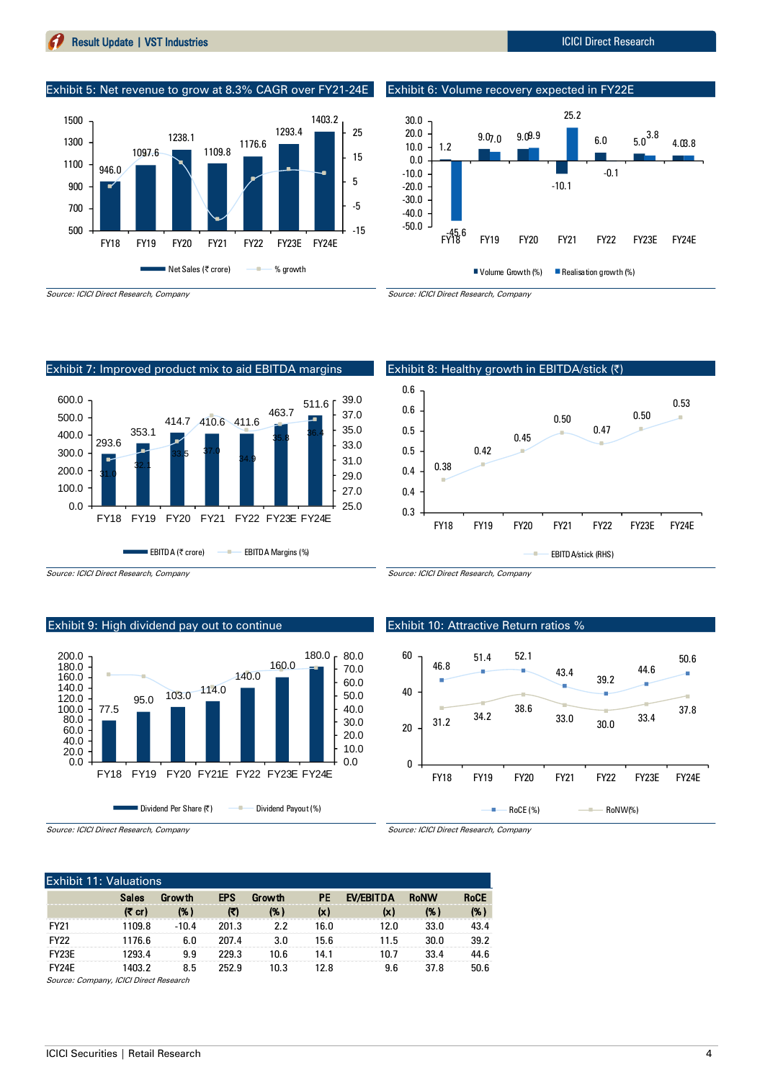#### (₹cr) (%) (₹) (%) (x) (x) (%) (%) FY21 1109.8 -10.4 201.3 2.2 16.0 12.0 33.0 43.4

FY23E 1293.4 9.9 229.3 10.6 14.1 10.7 33.4 44.6 FY24E 1403.2 8.5 252.9 10.3 12.8 9.6 37.8 50.6 Source: Company, ICICI Direct Research

Source: ICICI Direct Research, Company

Exhibit 11: Valuations

ICICI Securities | Retail Research 4

#### Source: ICICI Direct Research, Company

946.0

1100 1300 1500

1097.6

## Exhibit 9: High dividend pay out to continue





Exhibit 10: Attractive Return ratios %

Source: ICICI Direct Research, Company

Source: ICICI Direct Research, Company

0.6



Source: ICICI Direct Research, Company

0.6 0.50 0.50 0.47 0.5 0.45 0.5 0.42 0.38 0.4 0.4 0.3 FY18 FY19 FY20 FY21 FY22 FY23E FY24E EBITDA/stick (RHS) ÷



EBITDA (₹ crore) – EBITDA Margins (%)

#### Exhibit 7: Improved product mix to aid EBITDA margins



Exhibit 5: Net revenue to grow at 8.3% CAGR over FY21-24E

1109.8 1176.6

1293.4

1403.2

5 15 25

1238.1

# Exhibit 6: Volume recovery expected in FY22E

Exhibit 8: Healthy growth in EBITDA/stick (₹)



0.53

60.0

Sales Growth EPS Growth PE EV/EBITDA RoNW RoCE

FY22 1176.6 6.0 207.4 3.0 15.6 11.5 30.0 39.2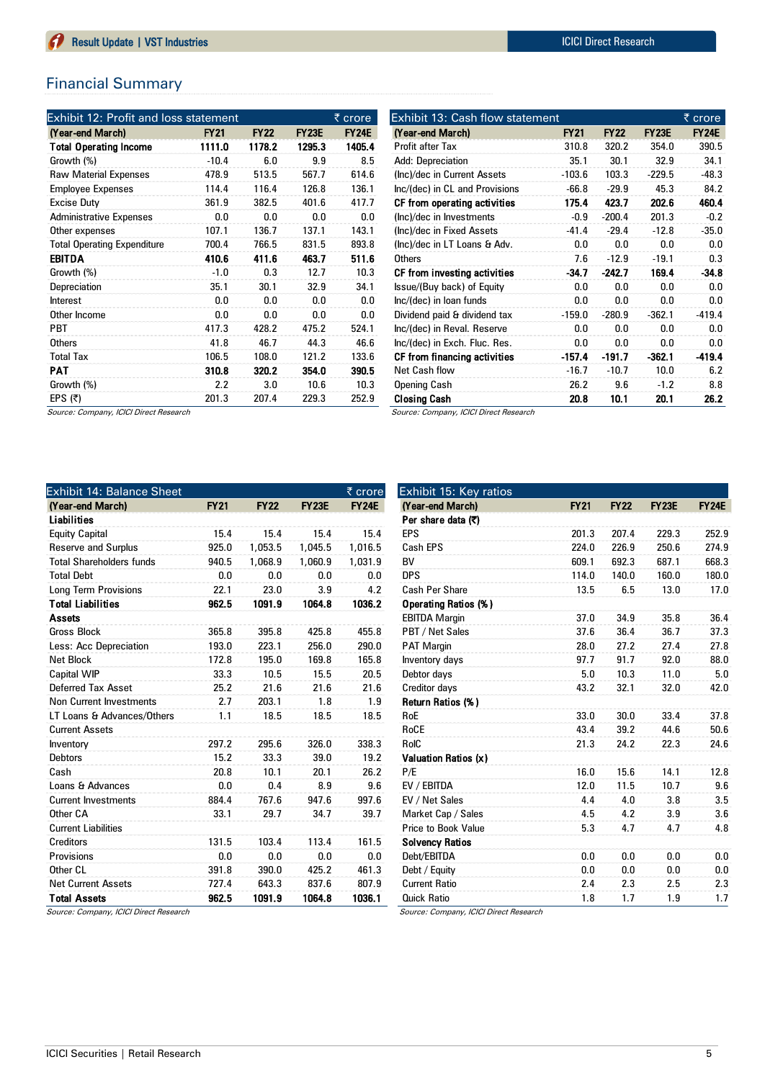## Financial Summary

| Exhibit 12: Profit and loss statement |             |             |              | ₹ crore      |
|---------------------------------------|-------------|-------------|--------------|--------------|
| (Year-end March)                      | <b>FY21</b> | <b>FY22</b> | <b>FY23E</b> | <b>FY24E</b> |
| <b>Total Operating Income</b>         | 1111.0      | 1178.2      | 1295.3       | 1405.4       |
| Growth (%)                            | $-10.4$     | 6.0         | 9.9          | 8.5          |
| <b>Raw Material Expenses</b>          | 478.9       | 513.5       | 567.7        | 614.6        |
| <b>Employee Expenses</b>              | 114.4       | 116.4       | 126.8        | 136.1        |
| <b>Excise Duty</b>                    | 361.9       | 382.5       | 401.6        | 417.7        |
| <b>Administrative Expenses</b>        | 0.0         | 0.0         | 0.0          | 0.0          |
| Other expenses                        | 107.1       | 136.7       | 137.1        | 143.1        |
| <b>Total Operating Expenditure</b>    | 700.4       | 766.5       | 831.5        | 893.8        |
| <b>EBITDA</b>                         | 410.6       | 411.6       | 463.7        | 511.6        |
| Growth (%)                            | $-1.0$      | 0.3         | 12.7         | 10.3         |
| Depreciation                          | 35.1        | 30.1        | 32.9         | 34.1         |
| Interest                              | 0.0         | 0.0         | 0.0          | 0.0          |
| Other Income                          | 0.0         | 0.0         | 0.0          | 0.0          |
| <b>PBT</b>                            | 417.3       | 428.2       | 475.2        | 524.1        |
| <b>Others</b>                         | 41.8        | 46.7        | 44.3         | 46.6         |
| <b>Total Tax</b>                      | 106.5       | 108.0       | 121.2        | 133.6        |
| PAT                                   | 310.8       | 320.2       | 354.0        | 390.5        |
| Growth (%)                            | 2.2         | 3.0         | 10.6         | 10.3         |
| EPS $(5)$                             | 201.3       | 207.4       | 229.3        | 252.9        |

| Exhibit 13: Cash flow statement        |             |             |              | ₹ crore      |
|----------------------------------------|-------------|-------------|--------------|--------------|
| (Year-end March)                       | <b>FY21</b> | <b>FY22</b> | <b>FY23E</b> | <b>FY24E</b> |
| Profit after Tax                       | 310.8       | 320.2       | 354.0        | 390.5        |
| Add: Depreciation                      | 35.1        | 30.1        | 32.9         | 34.1         |
| (Inc)/dec in Current Assets            | $-103.6$    | 103.3       | $-229.5$     | $-48.3$      |
| Inc/(dec) in CL and Provisions         | $-66.8$     | $-29.9$     | 45.3         | 84.2         |
| CF from operating activities           | 175.4       | 423.7       | 202.6        | 460.4        |
| (Inc)/dec in Investments               | $-0.9$      | $-200.4$    | 201.3        | $-0.2$       |
| (Inc)/dec in Fixed Assets              | $-41.4$     | $-29.4$     | $-12.8$      | $-35.0$      |
| (Inc)/dec in LT Loans & Adv.           | 0.0         | 0.0         | 0.0          | 0.0          |
| <b>Others</b>                          | 7.6         | $-12.9$     | $-19.1$      | 0.3          |
| CF from investing activities           | $-34.7$     | $-242.7$    | 169.4        | $-34.8$      |
| Issue/(Buy back) of Equity             | 0.0         | 0.0         | 0.0          | 0.0          |
| Inc/(dec) in loan funds                | 0.0         | 0.0         | 0.0          | 0.0          |
| Dividend paid & dividend tax           | $-159.0$    | $-280.9$    | $-362.1$     | $-419.4$     |
| Inc/(dec) in Reval. Reserve            | 0.0         | 0.0         | 0.0          | 0.0          |
| Inc/(dec) in Exch. Fluc. Res.          | 0.0         | 0.0         | 0.0          | 0.0          |
| CF from financing activities           | $-157.4$    | $-191.7$    | $-362.1$     | $-419.4$     |
| Net Cash flow                          | $-16.7$     | $-10.7$     | 10.0         | 6.2          |
| <b>Opening Cash</b>                    | 26.2        | 9.6         | $-1.2$       | 8.8          |
| <b>Closing Cash</b>                    | 20.8        | 10.1        | 20.1         | 26.2         |
| Source: Company, ICICI Direct Research |             |             |              |              |

Source: Company, ICICI Direct Research

| <b>Exhibit 14: Balance Sheet</b> |             |             |              | ₹ crore      |
|----------------------------------|-------------|-------------|--------------|--------------|
| (Year-end March)                 | <b>FY21</b> | <b>FY22</b> | <b>FY23E</b> | <b>FY24E</b> |
| Liabilities                      |             |             |              |              |
| <b>Equity Capital</b>            | 15.4        | 15.4        | 15.4         | 15.4         |
| <b>Reserve and Surplus</b>       | 925.0       | 1,053.5     | 1.045.5      | 1,016.5      |
| <b>Total Shareholders funds</b>  | 940.5       | 1.068.9     | 1,060.9      | 1,031.9      |
| <b>Total Debt</b>                | 0.0         | 0.0         | 0.0          | 0.0          |
| <b>Long Term Provisions</b>      | 22.1        | 23.0        | 3.9          | 4.2          |
| <b>Total Liabilities</b>         | 962.5       | 1091.9      | 1064.8       | 1036.2       |
| <b>Assets</b>                    |             |             |              |              |
| <b>Gross Block</b>               | 365.8       | 395.8       | 425.8        | 455.8        |
| Less: Acc Depreciation           | 193.0       | 223.1       | 256.0        | 290.0        |
| <b>Net Block</b>                 | 172.8       | 195.0       | 169.8        | 165.8        |
| <b>Capital WIP</b>               | 33.3        | 10.5        | 15.5         | 20.5         |
| Deferred Tax Asset               | 25.2        | 21.6        | 21.6         | 21.6         |
| <b>Non Current Investments</b>   | 2.7         | 203.1       | 1.8          | 1.9          |
| LT Loans & Advances/Others       | 1.1         | 18.5        | 18.5         | 18.5         |
| <b>Current Assets</b>            |             |             |              |              |
| Inventory                        | 297.2       | 295.6       | 326.0        | 338.3        |
| <b>Debtors</b>                   | 15.2        | 33.3        | 39.0         | 19.2         |
| Cash                             | 20.8        | 10.1        | 20.1         | 26.2         |
| Loans & Advances                 | 0.0         | 0.4         | 8.9          | 9.6          |
| <b>Current Investments</b>       | 884.4       | 767.6       | 947.6        | 997.6        |
| Other CA                         | 33.1        | 29.7        | 34.7         | 39.7         |
| <b>Current Liabilities</b>       |             |             |              |              |
| Creditors                        | 131.5       | 103.4       | 113.4        | 161.5        |
| Provisions                       | 0.0         | 0.0         | 0.0          | 0.0          |
| Other CL                         | 391.8       | 390.0       | 425.2        | 461.3        |
| <b>Net Current Assets</b>        | 727.4       | 643.3       | 837.6        | 807.9        |
| <b>Total Assets</b>              | 962.5       | 1091.9      | 1064.8       | 1036.1       |

| Per share data (₹)          |       |       |       |       |
|-----------------------------|-------|-------|-------|-------|
| EPS                         | 201.3 | 207.4 | 229.3 | 252.9 |
| Cash EPS                    | 224.0 | 226.9 | 250.6 | 274.9 |
| <b>BV</b>                   | 609.1 | 692.3 | 687.1 | 668.3 |
| <b>DPS</b>                  | 114.0 | 140.0 | 160.0 | 180.0 |
| <b>Cash Per Share</b>       | 13.5  | 6.5   | 13.0  | 17.0  |
| <b>Operating Ratios (%)</b> |       |       |       |       |
| <b>EBITDA Margin</b>        | 37.0  | 34.9  | 35.8  | 36.4  |
| PBT / Net Sales             | 37.6  | 36.4  | 36.7  | 37.3  |
| <b>PAT Margin</b>           | 28.0  | 27.2  | 27.4  | 27.8  |
| Inventory days              | 97.7  | 91.7  | 92.0  | 88.0  |
| Debtor days                 | 5.0   | 10.3  | 11.0  | 5.0   |
| Creditor days               | 43.2  | 32.1  | 32.0  | 42.0  |
| Return Ratios (%)           |       |       |       |       |
| RoE                         | 33.0  | 30.0  | 33.4  | 37.8  |
| RoCE                        | 43.4  | 39.2  | 44.6  | 50.6  |
| RoIC                        | 21.3  | 24.2  | 22.3  | 24.6  |
| Valuation Ratios (x)        |       |       |       |       |
| P/E                         | 16.0  | 15.6  | 14.1  | 12.8  |
| EV / EBITDA                 | 12.0  | 11.5  | 10.7  | 9.6   |
| EV / Net Sales              | 4.4   | 4.0   | 3.8   | 3.5   |
| Market Cap / Sales          | 4.5   | 4.2   | 3.9   | 3.6   |
| <b>Price to Book Value</b>  | 5.3   | 4.7   | 4.7   | 4.8   |
| <b>Solvency Ratios</b>      |       |       |       |       |
| Debt/EBITDA                 | 0.0   | 0.0   | 0.0   | 0.0   |
| Debt / Equity               | 0.0   | 0.0   | 0.0   | 0.0   |
| <b>Current Ratio</b>        | 2.4   | 2.3   | 2.5   | 2.3   |
| Quick Ratio                 | 1.8   | 1.7   | 1.9   | 1.7   |

(Year-end March) FY21 FY22 FY23E FY24E

Source: Company, ICICI Direct Research

Exhibit 15: Key ratios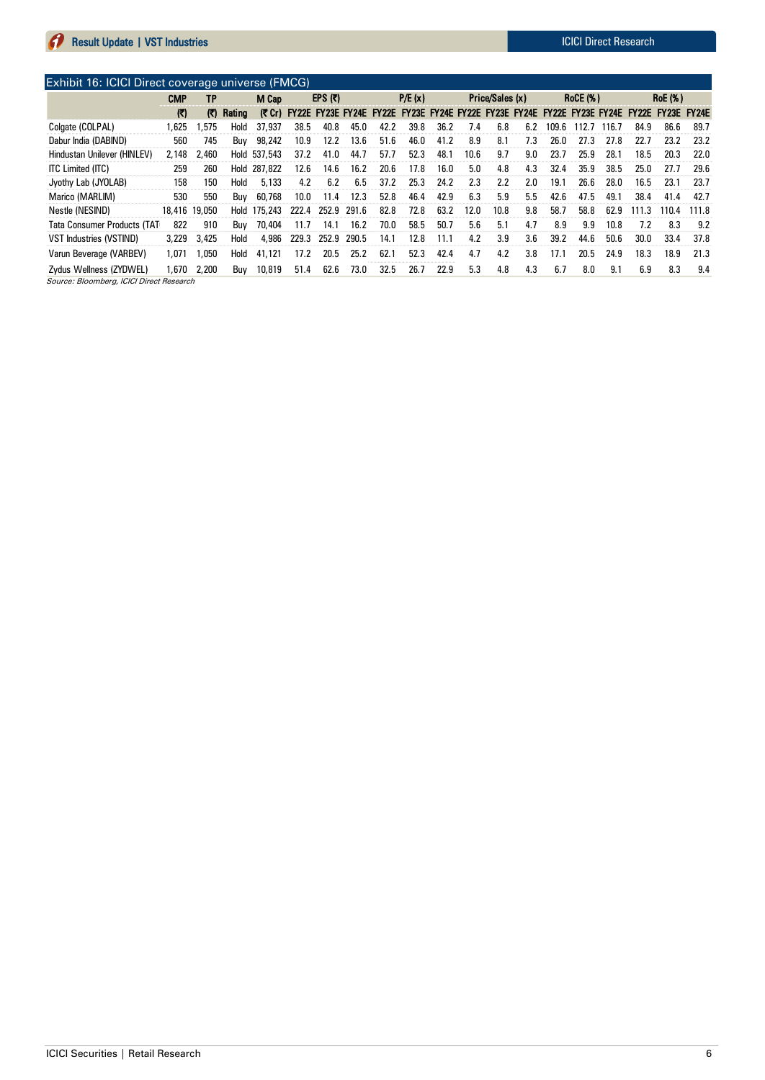| Exhibit 16: ICICI Direct coverage universe (FMCG)                   |               |              |        |         |       |           |       |                           |                                                                                |      |      |      |     |                 |       |                |                          |       |       |
|---------------------------------------------------------------------|---------------|--------------|--------|---------|-------|-----------|-------|---------------------------|--------------------------------------------------------------------------------|------|------|------|-----|-----------------|-------|----------------|--------------------------|-------|-------|
|                                                                     | <b>CMP</b>    | TP           |        | M Cap   |       | EPS $(3)$ |       | P/E(x)<br>Price/Sales (x) |                                                                                |      |      |      |     | <b>RoCE (%)</b> |       | <b>RoE</b> (%) |                          |       |       |
|                                                                     | $\mathbf{E}$  | $\mathbb{C}$ | Rating |         |       |           |       |                           | (₹ Cr) FY22E FY23E FY24E FY22E FY23E FY24E FY22E FY23E FY24E FY22E FY23E FY24E |      |      |      |     |                 |       |                | <b>FY22E FY23E FY24E</b> |       |       |
| Colgate (COLPAL)                                                    | 1.625         | .575         | Hold   | 37,937  | 38.5  | 40.8      | 45.0  | 42.2                      | 39.8                                                                           | 36.2 | 7.4  | 6.8  | 6.2 | 109.6           | 112.7 | 116.7          | 84.9                     | 86.6  | 89.7  |
| Dabur India (DABIND)                                                | 560           | 745          | Buv    | 98.242  | 10.9  | 12.2      | 13.6  | 51.6                      | 46.0                                                                           | 41.2 | 8.9  | 8.1  | 7.3 | 26.0            | 27.3  | 27.8           | 22.7                     | 23.2  | 23.2  |
| Hindustan Unilever (HINLEV)                                         | 2.148         | 2,460        | Hold   | 537,543 | 37.2  | 41.0      | 44.7  | 57.7                      | 52.3                                                                           | 48.1 | 10.6 | 9.7  | 9.0 | 23.7            | 25.9  | 28.1           | 18.5                     | 20.3  | 22.0  |
| <b>ITC Limited (ITC)</b>                                            | 259           | 260          | Hold   | 287,822 | 12.6  | 14.6      | 16.2  | 20.6                      | 17.8                                                                           | 16.0 | 5.0  | 4.8  | 4.3 | 32.4            | 35.9  | 38.5           | 25.0                     | 27.7  | 29.6  |
| Jyothy Lab (JYOLAB)                                                 | 158           | 150          | Hold   | 5.133   | 4.2   | 6.2       | 6.5   | 37.2                      | 25.3                                                                           | 24.2 | 2.3  | 2.2  | 2.0 | 19.1            | 26.6  | 28.0           | 16.5                     | 23.1  | 23.7  |
| Marico (MARLIM)                                                     | 530           | 550          | Buv    | 60.768  | 10.0  | 11.4      | 12.3  | 52.8                      | 46.4                                                                           | 42.9 | 6.3  | 5.9  | 5.5 | 42.6            | 47.5  | 49.1           | 38.4                     | 41.4  | 42.7  |
| Nestle (NESIND)                                                     | 18,416 19,050 |              | Hold   | 175,243 | 222.4 | 252.9     | 291.6 | 82.8                      | 72.8                                                                           | 63.2 | 12.0 | 10.8 | 9.8 | 58.7            | 58.8  | 62.9           | 111.3                    | 110.4 | 111.8 |
| <b>Tata Consumer Products (TAT</b>                                  | 822           | 910          | Buv    | 70,404  | 11.7  | 14.1      | 16.2  | 70.0                      | 58.5                                                                           | 50.7 | 5.6  | 5.1  | 4.7 | 8.9             | 9.9   | 10.8           | 7.2                      | 8.3   | 9.2   |
| <b>VST Industries (VSTIND)</b>                                      | 3.229         | 3,425        | Hold   | 4.986   | 229.3 | 252.9     | 290.5 | 14.1                      | 12.8                                                                           | 11.1 | 4.2  | 3.9  | 3.6 | 39.2            | 44.6  | 50.6           | 30.0                     | 33.4  | 37.8  |
| Varun Beverage (VARBEV)                                             | 1.071         | 1.050        | Hold   | 41,121  | 17.2  | 20.5      | 25.2  | 62.1                      | 52.3                                                                           | 42.4 | 4.7  | 4.2  | 3.8 | 17.1            | 20.5  | 24.9           | 18.3                     | 18.9  | 21.3  |
| Zydus Wellness (ZYDWEL)<br>Source: Bloomberg, ICICI Direct Research | 1.670         | 2,200        | Buv    | 10,819  | 51.4  | 62.6      | 73.0  | 32.5                      | 26.7                                                                           | 22.9 | 5.3  | 4.8  | 4.3 | 6.7             | 8.0   | 9.1            | 6.9                      | 8.3   | 9.4   |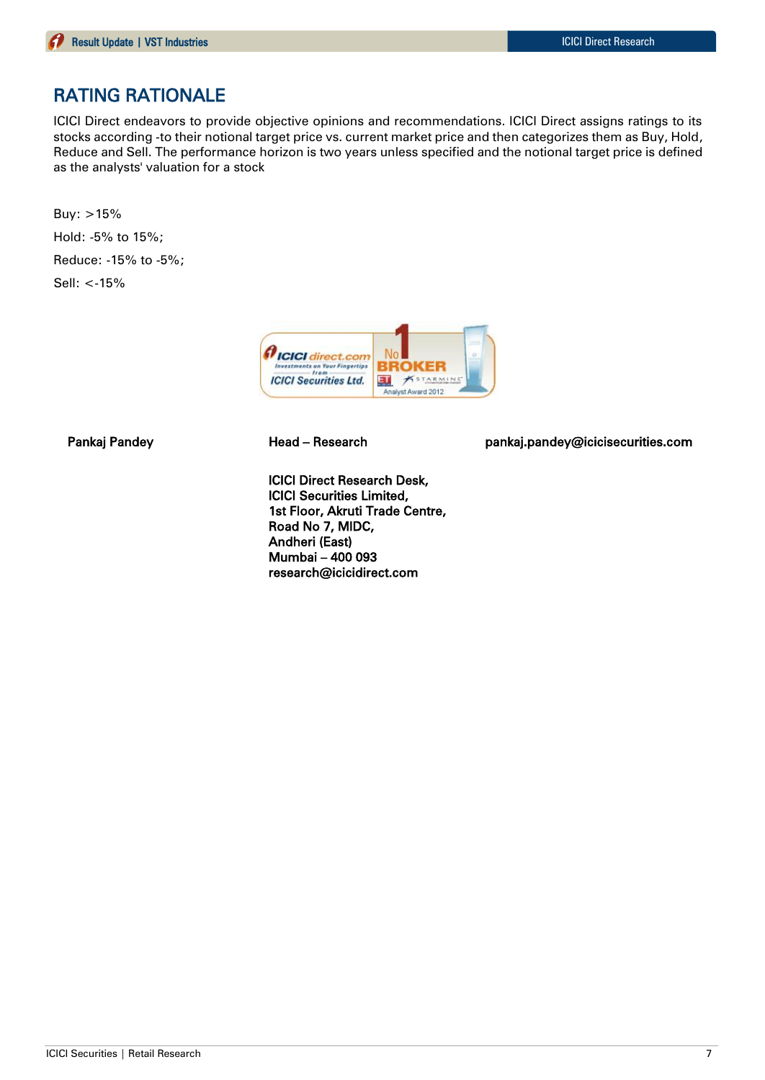# RATING RATIONALE

ICICI Direct endeavors to provide objective opinions and recommendations. ICICI Direct assigns ratings to its stocks according -to their notional target price vs. current market price and then categorizes them as Buy, Hold, Reduce and Sell. The performance horizon is two years unless specified and the notional target price is defined as the analysts' valuation for a stock

Buy: >15% Hold: -5% to 15%; Reduce: -15% to -5%; Sell: <-15%



ICICI Direct Research Desk, ICICI Securities Limited, 1st Floor, Akruti Trade Centre, Road No 7, MIDC, Andheri (East) Mumbai – 400 093 research@icicidirect.com

Pankaj Pandey **Head – Research head pankaj.pandey@icicisecurities.com**